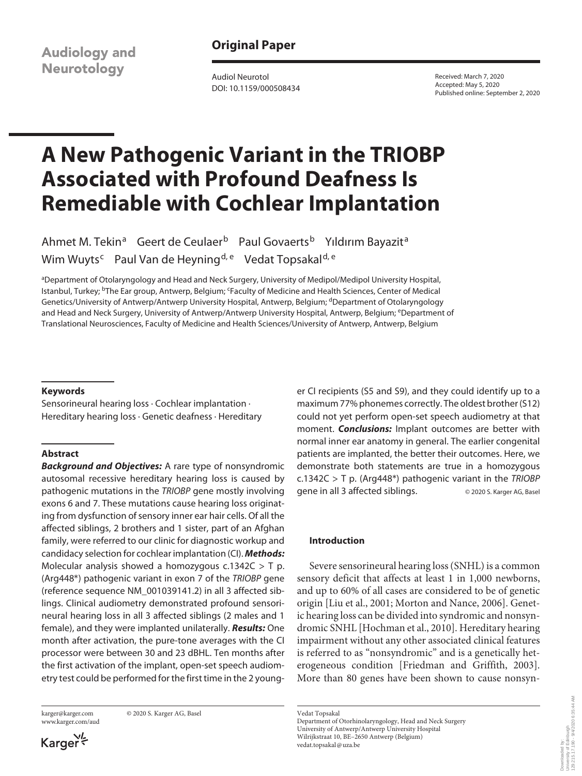**Audiology and Neurotology** 

**Original Paper**

Audiol Neurotol DOI: 10.1159/000508434 Received: March 7, 2020 Accepted: May 5, 2020 Published online: September 2, 2020

# **A New Pathogenic Variant in the TRIOBP Associated with Profound Deafness Is Remediable with Cochlear Implantation**

Ahmet M. Tekin<sup>a</sup> Geert de Ceulaer<sup>b</sup> Paul Govaerts<sup>b</sup> Yıldırım Bayazit<sup>a</sup> Wim Wuyts<sup>c</sup> Paul Van de Heyning<sup>d, e</sup> Vedat Topsakal<sup>d, e</sup>

aDepartment of Otolaryngology and Head and Neck Surgery, University of Medipol/Medipol University Hospital, Istanbul, Turkey; <sup>b</sup>The Ear group, Antwerp, Belgium; <sup>c</sup>Faculty of Medicine and Health Sciences, Center of Medical Genetics/University of Antwerp/Antwerp University Hospital, Antwerp, Belgium; <sup>d</sup>Department of Otolaryngology and Head and Neck Surgery, University of Antwerp/Antwerp University Hospital, Antwerp, Belgium; eDepartment of Translational Neurosciences, Faculty of Medicine and Health Sciences/University of Antwerp, Antwerp, Belgium

#### **Keywords**

Sensorineural hearing loss · Cochlear implantation · Hereditary hearing loss · Genetic deafness · Hereditary

#### **Abstract**

*Background and Objectives:* A rare type of nonsyndromic autosomal recessive hereditary hearing loss is caused by pathogenic mutations in the *TRIOBP* gene mostly involving exons 6 and 7. These mutations cause hearing loss originating from dysfunction of sensory inner ear hair cells. Of all the affected siblings, 2 brothers and 1 sister, part of an Afghan family, were referred to our clinic for diagnostic workup and candidacy selection for cochlear implantation (CI). *Methods:* Molecular analysis showed a homozygous c.1342C  $>$  T p. (Arg448\*) pathogenic variant in exon 7 of the *TRIOBP* gene (reference sequence NM\_001039141.2) in all 3 affected siblings. Clinical audiometry demonstrated profound sensorineural hearing loss in all 3 affected siblings (2 males and 1 female), and they were implanted unilaterally. *Results:* One month after activation, the pure-tone averages with the CI processor were between 30 and 23 dBHL. Ten months after the first activation of the implant, open-set speech audiometry test could be performed for the first time in the 2 young-

www.karger.com/aud

karger@karger.com © 2020 S. Karger AG, Basel

بر<br>\*Karger

er CI recipients (S5 and S9), and they could identify up to a maximum 77% phonemes correctly. The oldest brother (S12) could not yet perform open-set speech audiometry at that moment. *Conclusions:* Implant outcomes are better with normal inner ear anatomy in general. The earlier congenital patients are implanted, the better their outcomes. Here, we demonstrate both statements are true in a homozygous c.1342C > T p. (Arg448\*) pathogenic variant in the *TRIOBP* gene in all 3 affected siblings. © 2020 S. Karger AG, Basel

### **Introduction**

Severe sensorineural hearing loss (SNHL) is a common sensory deficit that affects at least 1 in 1,000 newborns, and up to 60% of all cases are considered to be of genetic origin [Liu et al., 2001; Morton and Nance, 2006]. Genetic hearing loss can be divided into syndromic and nonsyndromic SNHL [Hochman et al., 2010]. Hereditary hearing impairment without any other associated clinical features is referred to as "nonsyndromic" and is a genetically heterogeneous condition [Friedman and Griffith, 2003]. More than 80 genes have been shown to cause nonsyn-

Vedat Topsakal

Department of Otorhinolaryngology, Head and Neck Surgery University of Antwerp/Antwerp University Hospital Wilrijkstraat 10, BE–2650 Antwerp (Belgium) vedat.topsakal@uza.be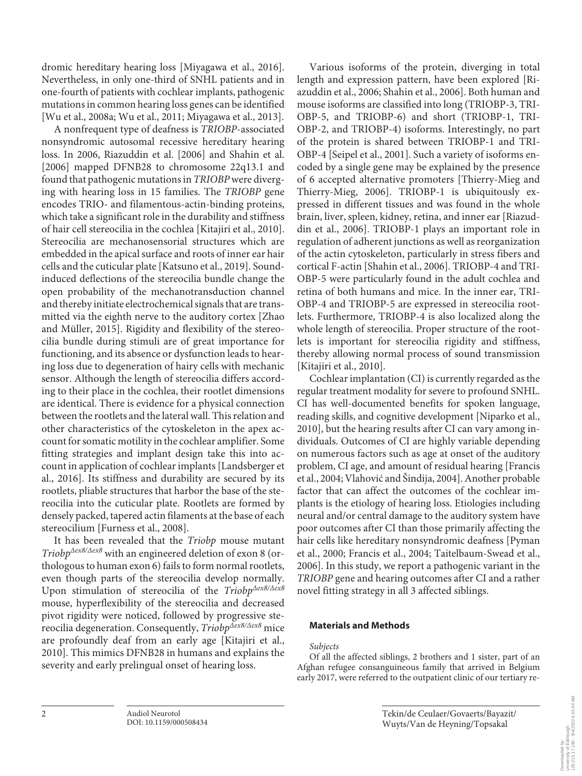dromic hereditary hearing loss [Miyagawa et al., 2016]. Nevertheless, in only one-third of SNHL patients and in one-fourth of patients with cochlear implants, pathogenic mutations in common hearing loss genes can be identified [Wu et al., 2008a; Wu et al., 2011; Miyagawa et al., 2013].

A nonfrequent type of deafness is *TRIOBP*-associated nonsyndromic autosomal recessive hereditary hearing loss. In 2006, Riazuddin et al. [2006] and Shahin et al. [2006] mapped DFNB28 to chromosome 22q13.1 and found that pathogenic mutations in *TRIOBP* were diverging with hearing loss in 15 families. The *TRIOBP* gene encodes TRIO- and filamentous-actin-binding proteins, which take a significant role in the durability and stiffness of hair cell stereocilia in the cochlea [Kitajiri et al., 2010]. Stereocilia are mechanosensorial structures which are embedded in the apical surface and roots of inner ear hair cells and the cuticular plate [Katsuno et al., 2019]. Soundinduced deflections of the stereocilia bundle change the open probability of the mechanotransduction channel and thereby initiate electrochemical signals that are transmitted via the eighth nerve to the auditory cortex [Zhao and Müller, 2015]. Rigidity and flexibility of the stereocilia bundle during stimuli are of great importance for functioning, and its absence or dysfunction leads to hearing loss due to degeneration of hairy cells with mechanic sensor. Although the length of stereocilia differs according to their place in the cochlea, their rootlet dimensions are identical. There is evidence for a physical connection between the rootlets and the lateral wall. This relation and other characteristics of the cytoskeleton in the apex account for somatic motility in the cochlear amplifier. Some fitting strategies and implant design take this into account in application of cochlear implants [Landsberger et al., 2016]. Its stiffness and durability are secured by its rootlets, pliable structures that harbor the base of the stereocilia into the cuticular plate. Rootlets are formed by densely packed, tapered actin filaments at the base of each stereocilium [Furness et al., 2008].

It has been revealed that the *Triobp* mouse mutant *TriobpΔex8/Δex8* with an engineered deletion of exon 8 (orthologous to human exon 6) fails to form normal rootlets, even though parts of the stereocilia develop normally. Upon stimulation of stereocilia of the *TriobpΔex8/Δex8* mouse, hyperflexibility of the stereocilia and decreased pivot rigidity were noticed, followed by progressive stereocilia degeneration. Consequently, *TriobpΔex8/Δex8* mice are profoundly deaf from an early age [Kitajiri et al., 2010]. This mimics DFNB28 in humans and explains the severity and early prelingual onset of hearing loss.

Various isoforms of the protein, diverging in total length and expression pattern, have been explored [Riazuddin et al., 2006; Shahin et al., 2006]. Both human and mouse isoforms are classified into long (TRIOBP-3, TRI-OBP-5, and TRIOBP-6) and short (TRIOBP-1, TRI-OBP-2, and TRIOBP-4) isoforms. Interestingly, no part of the protein is shared between TRIOBP-1 and TRI-OBP-4 [Seipel et al., 2001]. Such a variety of isoforms encoded by a single gene may be explained by the presence of 6 accepted alternative promoters [Thierry-Mieg and Thierry-Mieg, 2006]. TRIOBP-1 is ubiquitously expressed in different tissues and was found in the whole brain, liver, spleen, kidney, retina, and inner ear [Riazuddin et al., 2006]. TRIOBP-1 plays an important role in regulation of adherent junctions as well as reorganization of the actin cytoskeleton, particularly in stress fibers and cortical F-actin [Shahin et al., 2006]. TRIOBP-4 and TRI-OBP-5 were particularly found in the adult cochlea and retina of both humans and mice. In the inner ear, TRI-OBP-4 and TRIOBP-5 are expressed in stereocilia rootlets. Furthermore, TRIOBP-4 is also localized along the whole length of stereocilia. Proper structure of the rootlets is important for stereocilia rigidity and stiffness, thereby allowing normal process of sound transmission [Kitajiri et al., 2010].

Cochlear implantation (CI) is currently regarded as the regular treatment modality for severe to profound SNHL. CI has well-documented benefits for spoken language, reading skills, and cognitive development [Niparko et al., 2010], but the hearing results after CI can vary among individuals. Outcomes of CI are highly variable depending on numerous factors such as age at onset of the auditory problem, CI age, and amount of residual hearing [Francis et al., 2004; Vlahović and Šindija, 2004]. Another probable factor that can affect the outcomes of the cochlear implants is the etiology of hearing loss. Etiologies including neural and/or central damage to the auditory system have poor outcomes after CI than those primarily affecting the hair cells like hereditary nonsyndromic deafness [Pyman et al., 2000; Francis et al., 2004; Taitelbaum-Swead et al., 2006]. In this study, we report a pathogenic variant in the *TRIOBP* gene and hearing outcomes after CI and a rather novel fitting strategy in all 3 affected siblings.

# **Materials and Methods**

#### *Subjects*

Of all the affected siblings, 2 brothers and 1 sister, part of an Afghan refugee consanguineous family that arrived in Belgium early 2017, were referred to the outpatient clinic of our tertiary re-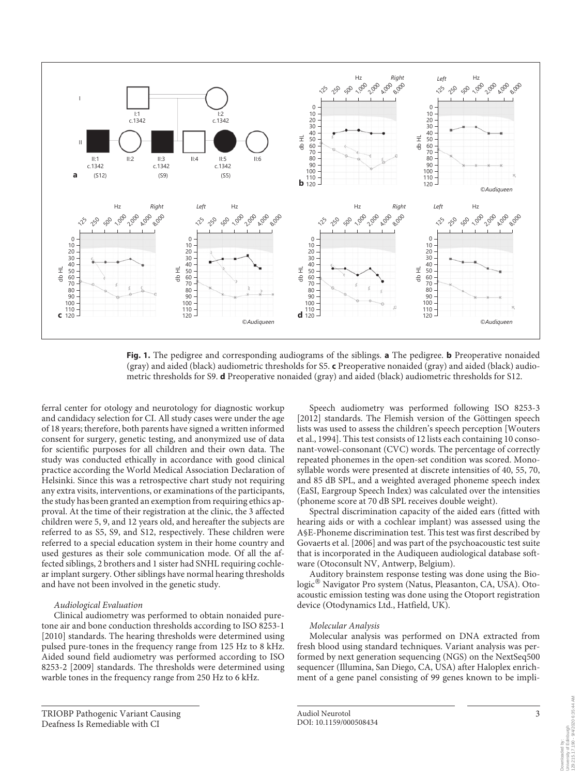

**Fig. 1.** The pedigree and corresponding audiograms of the siblings. **a** The pedigree. **b** Preoperative nonaided (gray) and aided (black) audiometric thresholds for S5. **c** Preoperative nonaided (gray) and aided (black) audiometric thresholds for S9. **d** Preoperative nonaided (gray) and aided (black) audiometric thresholds for S12.

ferral center for otology and neurotology for diagnostic workup and candidacy selection for CI. All study cases were under the age of 18 years; therefore, both parents have signed a written informed consent for surgery, genetic testing, and anonymized use of data for scientific purposes for all children and their own data. The study was conducted ethically in accordance with good clinical practice according the World Medical Association Declaration of Helsinki. Since this was a retrospective chart study not requiring any extra visits, interventions, or examinations of the participants, the study has been granted an exemption from requiring ethics approval. At the time of their registration at the clinic, the 3 affected children were 5, 9, and 12 years old, and hereafter the subjects are referred to as S5, S9, and S12, respectively. These children were referred to a special education system in their home country and used gestures as their sole communication mode. Of all the affected siblings, 2 brothers and 1 sister had SNHL requiring cochlear implant surgery. Other siblings have normal hearing thresholds and have not been involved in the genetic study.

#### *Audiological Evaluation*

Clinical audiometry was performed to obtain nonaided puretone air and bone conduction thresholds according to ISO 8253-1 [2010] standards. The hearing thresholds were determined using pulsed pure-tones in the frequency range from 125 Hz to 8 kHz. Aided sound field audiometry was performed according to ISO 8253-2 [2009] standards. The thresholds were determined using warble tones in the frequency range from 250 Hz to 6 kHz.

Speech audiometry was performed following ISO 8253-3 [2012] standards. The Flemish version of the Göttingen speech lists was used to assess the children's speech perception [Wouters et al., 1994]. This test consists of 12 lists each containing 10 consonant-vowel-consonant (CVC) words. The percentage of correctly repeated phonemes in the open-set condition was scored. Monosyllable words were presented at discrete intensities of 40, 55, 70, and 85 dB SPL, and a weighted averaged phoneme speech index (EaSI, Eargroup Speech Index) was calculated over the intensities (phoneme score at 70 dB SPL receives double weight).

Spectral discrimination capacity of the aided ears (fitted with hearing aids or with a cochlear implant) was assessed using the A§E-Phoneme discrimination test. This test was first described by Govaerts et al. [2006] and was part of the psychoacoustic test suite that is incorporated in the Audiqueen audiological database software (Otoconsult NV, Antwerp, Belgium).

Auditory brainstem response testing was done using the Biologic® Navigator Pro system (Natus, Pleasanton, CA, USA). Otoacoustic emission testing was done using the Otoport registration device (Otodynamics Ltd., Hatfield, UK).

#### *Molecular Analysis*

Molecular analysis was performed on DNA extracted from fresh blood using standard techniques. Variant analysis was performed by next generation sequencing (NGS) on the NextSeq500 sequencer (Illumina, San Diego, CA, USA) after Haloplex enrichment of a gene panel consisting of 99 genes known to be impli-

TRIOBP Pathogenic Variant Causing Deafness Is Remediable with CI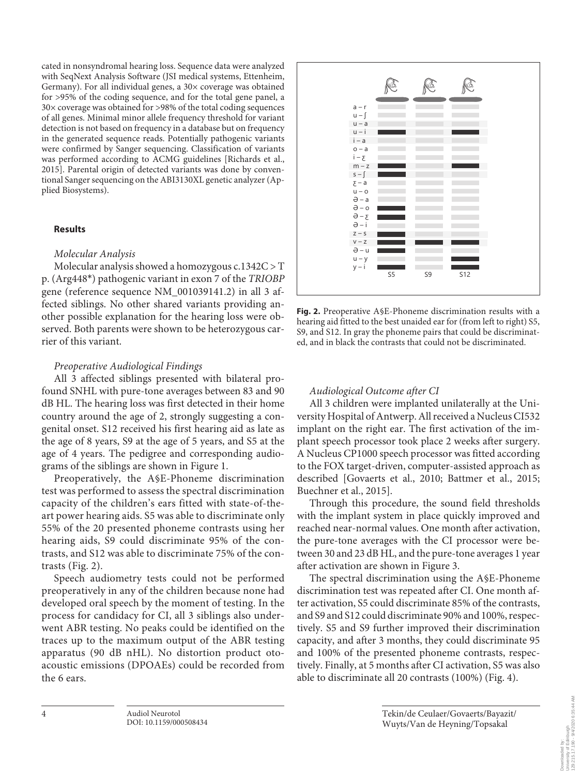cated in nonsyndromal hearing loss. Sequence data were analyzed with SeqNext Analysis Software (JSI medical systems, Ettenheim, Germany). For all individual genes, a  $30\times$  coverage was obtained for >95% of the coding sequence, and for the total gene panel, a 30× coverage was obtained for >98% of the total coding sequences of all genes. Minimal minor allele frequency threshold for variant detection is not based on frequency in a database but on frequency in the generated sequence reads. Potentially pathogenic variants were confirmed by Sanger sequencing. Classification of variants was performed according to ACMG guidelines [Richards et al., 2015]. Parental origin of detected variants was done by conventional Sanger sequencing on the ABI3130XL genetic analyzer (Applied Biosystems).

# **Results**

# *Molecular Analysis*

Molecular analysis showed a homozygous c.1342C > T p. (Arg448\*) pathogenic variant in exon 7 of the *TRIOBP* gene (reference sequence NM\_001039141.2) in all 3 affected siblings. No other shared variants providing another possible explanation for the hearing loss were observed. Both parents were shown to be heterozygous carrier of this variant.

# *Preoperative Audiological Findings*

All 3 affected siblings presented with bilateral profound SNHL with pure-tone averages between 83 and 90 dB HL. The hearing loss was first detected in their home country around the age of 2, strongly suggesting a congenital onset. S12 received his first hearing aid as late as the age of 8 years, S9 at the age of 5 years, and S5 at the age of 4 years. The pedigree and corresponding audiograms of the siblings are shown in Figure 1.

Preoperatively, the A§E-Phoneme discrimination test was performed to assess the spectral discrimination capacity of the children's ears fitted with state-of-theart power hearing aids. S5 was able to discriminate only 55% of the 20 presented phoneme contrasts using her hearing aids, S9 could discriminate 95% of the contrasts, and S12 was able to discriminate 75% of the contrasts (Fig. 2).

Speech audiometry tests could not be performed preoperatively in any of the children because none had developed oral speech by the moment of testing. In the process for candidacy for CI, all 3 siblings also underwent ABR testing. No peaks could be identified on the traces up to the maximum output of the ABR testing apparatus (90 dB nHL). No distortion product otoacoustic emissions (DPOAEs) could be recorded from the 6 ears.



**Fig. 2.** Preoperative A§E-Phoneme discrimination results with a hearing aid fitted to the best unaided ear for (from left to right) S5, S9, and S12. In gray the phoneme pairs that could be discriminated, and in black the contrasts that could not be discriminated.

# *Audiological Outcome after CI*

All 3 children were implanted unilaterally at the University Hospital of Antwerp. All received a Nucleus CI532 implant on the right ear. The first activation of the implant speech processor took place 2 weeks after surgery. A Nucleus CP1000 speech processor was fitted according to the FOX target-driven, computer-assisted approach as described [Govaerts et al., 2010; Battmer et al., 2015; Buechner et al., 2015].

Through this procedure, the sound field thresholds with the implant system in place quickly improved and reached near-normal values. One month after activation, the pure-tone averages with the CI processor were between 30 and 23 dB HL, and the pure-tone averages 1 year after activation are shown in Figure 3.

The spectral discrimination using the A§E-Phoneme discrimination test was repeated after CI. One month after activation, S5 could discriminate 85% of the contrasts, and S9 and S12 could discriminate 90% and 100%, respectively. S5 and S9 further improved their discrimination capacity, and after 3 months, they could discriminate 95 and 100% of the presented phoneme contrasts, respectively. Finally, at 5 months after CI activation, S5 was also able to discriminate all 20 contrasts (100%) (Fig. 4).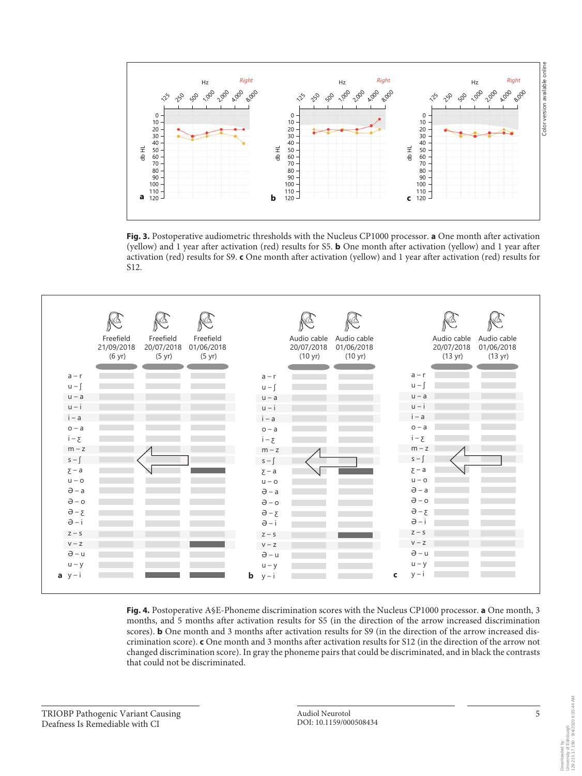

**Fig. 3.** Postoperative audiometric thresholds with the Nucleus CP1000 processor. **a** One month after activation (yellow) and 1 year after activation (red) results for S5. **b** One month after activation (yellow) and 1 year after activation (red) results for S9. **c** One month after activation (yellow) and 1 year after activation (red) results for S12.



**Fig. 4.** Postoperative A§E-Phoneme discrimination scores with the Nucleus CP1000 processor. **a** One month, 3 months, and 5 months after activation results for S5 (in the direction of the arrow increased discrimination scores). **b** One month and 3 months after activation results for S9 (in the direction of the arrow increased discrimination score). **c** One month and 3 months after activation results for S12 (in the direction of the arrow not changed discrimination score). In gray the phoneme pairs that could be discriminated, and in black the contrasts that could not be discriminated.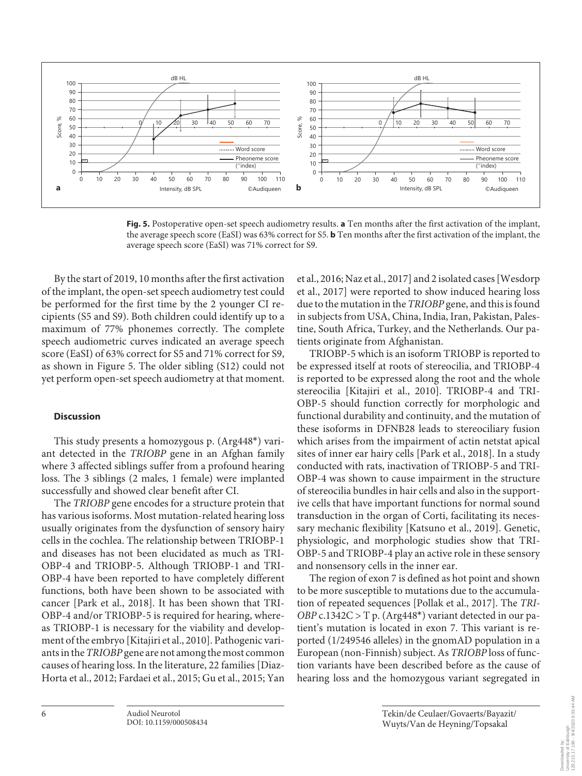

**Fig. 5.** Postoperative open-set speech audiometry results. **a** Ten months after the first activation of the implant, the average speech score (EaSI) was 63% correct for S5. **b** Ten months after the first activation of the implant, the average speech score (EaSI) was 71% correct for S9.

By the start of 2019, 10 months after the first activation of the implant, the open-set speech audiometry test could be performed for the first time by the 2 younger CI recipients (S5 and S9). Both children could identify up to a maximum of 77% phonemes correctly. The complete speech audiometric curves indicated an average speech score (EaSI) of 63% correct for S5 and 71% correct for S9, as shown in Figure 5. The older sibling (S12) could not yet perform open-set speech audiometry at that moment.

# **Discussion**

This study presents a homozygous p. (Arg448\*) variant detected in the *TRIOBP* gene in an Afghan family where 3 affected siblings suffer from a profound hearing loss. The 3 siblings (2 males, 1 female) were implanted successfully and showed clear benefit after CI.

The *TRIOBP* gene encodes for a structure protein that has various isoforms. Most mutation-related hearing loss usually originates from the dysfunction of sensory hairy cells in the cochlea. The relationship between TRIOBP-1 and diseases has not been elucidated as much as TRI-OBP-4 and TRIOBP-5. Although TRIOBP-1 and TRI-OBP-4 have been reported to have completely different functions, both have been shown to be associated with cancer [Park et al., 2018]. It has been shown that TRI-OBP-4 and/or TRIOBP-5 is required for hearing, whereas TRIOBP-1 is necessary for the viability and development of the embryo [Kitajiri et al., 2010]. Pathogenic variants in the *TRIOBP* gene are not among the most common causes of hearing loss. In the literature, 22 families [Diaz-Horta et al., 2012; Fardaei et al., 2015; Gu et al., 2015; Yan

et al., 2016; Naz et al., 2017] and 2 isolated cases [Wesdorp et al., 2017] were reported to show induced hearing loss due to the mutation in the *TRIOBP* gene, and this is found in subjects from USA, China, India, Iran, Pakistan, Palestine, South Africa, Turkey, and the Netherlands. Our patients originate from Afghanistan.

TRIOBP-5 which is an isoform TRIOBP is reported to be expressed itself at roots of stereocilia, and TRIOBP-4 is reported to be expressed along the root and the whole stereocilia [Kitajiri et al., 2010]. TRIOBP-4 and TRI-OBP-5 should function correctly for morphologic and functional durability and continuity, and the mutation of these isoforms in DFNB28 leads to stereociliary fusion which arises from the impairment of actin netstat apical sites of inner ear hairy cells [Park et al., 2018]. In a study conducted with rats, inactivation of TRIOBP-5 and TRI-OBP-4 was shown to cause impairment in the structure of stereocilia bundles in hair cells and also in the supportive cells that have important functions for normal sound transduction in the organ of Corti, facilitating its necessary mechanic flexibility [Katsuno et al., 2019]. Genetic, physiologic, and morphologic studies show that TRI-OBP-5 and TRIOBP-4 play an active role in these sensory and nonsensory cells in the inner ear.

The region of exon 7 is defined as hot point and shown to be more susceptible to mutations due to the accumulation of repeated sequences [Pollak et al., 2017]. The *TRI-OBP* c.1342C > T p. (Arg448\*) variant detected in our patient's mutation is located in exon 7. This variant is reported (1/249546 alleles) in the gnomAD population in a European (non-Finnish) subject. As *TRIOBP* loss of function variants have been described before as the cause of hearing loss and the homozygous variant segregated in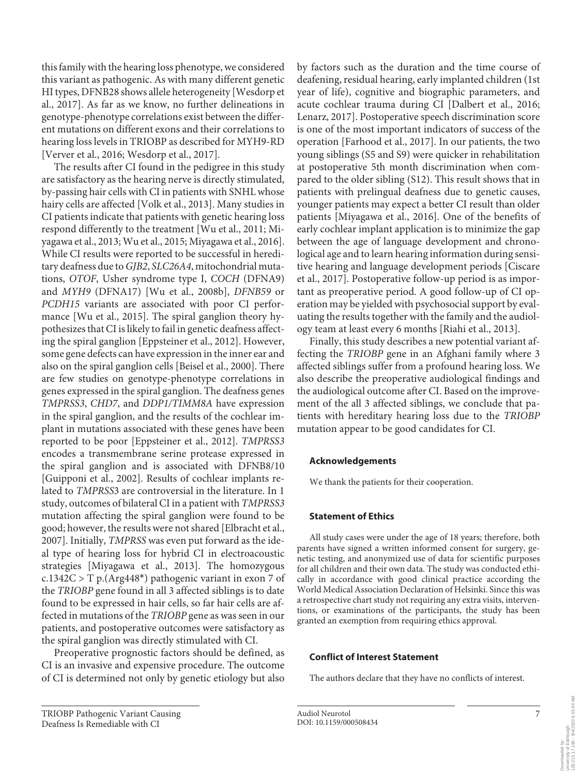this family with the hearing loss phenotype, we considered this variant as pathogenic. As with many different genetic HI types, DFNB28 shows allele heterogeneity [Wesdorp et al., 2017]. As far as we know, no further delineations in genotype-phenotype correlations exist between the different mutations on different exons and their correlations to hearing loss levels in TRIOBP as described for MYH9-RD [Verver et al., 2016; Wesdorp et al., 2017].

The results after CI found in the pedigree in this study are satisfactory as the hearing nerve is directly stimulated, by-passing hair cells with CI in patients with SNHL whose hairy cells are affected [Volk et al., 2013]. Many studies in CI patients indicate that patients with genetic hearing loss respond differently to the treatment [Wu et al., 2011; Miyagawa et al., 2013; Wu et al., 2015; Miyagawa et al., 2016]. While CI results were reported to be successful in hereditary deafness due to *GJB2*, *SLC26A4*, mitochondrial mutations, *OTOF*, Usher syndrome type I, *COCH* (DFNA9) and *MYH9* (DFNA17) [Wu et al., 2008b], *DFNB59* or *PCDH15* variants are associated with poor CI performance [Wu et al., 2015]. The spiral ganglion theory hypothesizes that CI is likely to fail in genetic deafness affecting the spiral ganglion [Eppsteiner et al., 2012]. However, some gene defects can have expression in the inner ear and also on the spiral ganglion cells [Beisel et al., 2000]. There are few studies on genotype-phenotype correlations in genes expressed in the spiral ganglion. The deafness genes *TMPRSS3*, *CHD7*, and *DDP1/TIMM8A* have expression in the spiral ganglion, and the results of the cochlear implant in mutations associated with these genes have been reported to be poor [Eppsteiner et al., 2012]. *TMPRSS3* encodes a transmembrane serine protease expressed in the spiral ganglion and is associated with DFNB8/10 [Guipponi et al., 2002]. Results of cochlear implants related to *TMPRSS*3 are controversial in the literature. In 1 study, outcomes of bilateral CI in a patient with *TMPRSS3* mutation affecting the spiral ganglion were found to be good; however, the results were not shared [Elbracht et al., 2007]. Initially, *TMPRSS* was even put forward as the ideal type of hearing loss for hybrid CI in electroacoustic strategies [Miyagawa et al., 2013]. The homozygous c.1342C > T p.(Arg448\*) pathogenic variant in exon 7 of the *TRIOBP* gene found in all 3 affected siblings is to date found to be expressed in hair cells, so far hair cells are affected in mutations of the *TRIOBP* gene as was seen in our patients, and postoperative outcomes were satisfactory as the spiral ganglion was directly stimulated with CI.

Preoperative prognostic factors should be defined, as CI is an invasive and expensive procedure. The outcome of CI is determined not only by genetic etiology but also by factors such as the duration and the time course of deafening, residual hearing, early implanted children (1st year of life), cognitive and biographic parameters, and acute cochlear trauma during CI [Dalbert et al., 2016; Lenarz, 2017]. Postoperative speech discrimination score is one of the most important indicators of success of the operation [Farhood et al., 2017]. In our patients, the two young siblings (S5 and S9) were quicker in rehabilitation at postoperative 5th month discrimination when compared to the older sibling (S12). This result shows that in patients with prelingual deafness due to genetic causes, younger patients may expect a better CI result than older patients [Miyagawa et al., 2016]. One of the benefits of early cochlear implant application is to minimize the gap between the age of language development and chronological age and to learn hearing information during sensitive hearing and language development periods [Ciscare et al., 2017]. Postoperative follow-up period is as important as preoperative period. A good follow-up of CI operation may be yielded with psychosocial support by evaluating the results together with the family and the audiology team at least every 6 months [Riahi et al., 2013].

Finally, this study describes a new potential variant affecting the *TRIOBP* gene in an Afghani family where 3 affected siblings suffer from a profound hearing loss. We also describe the preoperative audiological findings and the audiological outcome after CI. Based on the improvement of the all 3 affected siblings, we conclude that patients with hereditary hearing loss due to the *TRIOBP* mutation appear to be good candidates for CI.

# **Acknowledgements**

We thank the patients for their cooperation.

# **Statement of Ethics**

All study cases were under the age of 18 years; therefore, both parents have signed a written informed consent for surgery, genetic testing, and anonymized use of data for scientific purposes for all children and their own data. The study was conducted ethically in accordance with good clinical practice according the World Medical Association Declaration of Helsinki. Since this was a retrospective chart study not requiring any extra visits, interventions, or examinations of the participants, the study has been granted an exemption from requiring ethics approval.

#### **Conflict of Interest Statement**

The authors declare that they have no conflicts of interest.

TRIOBP Pathogenic Variant Causing Deafness Is Remediable with CI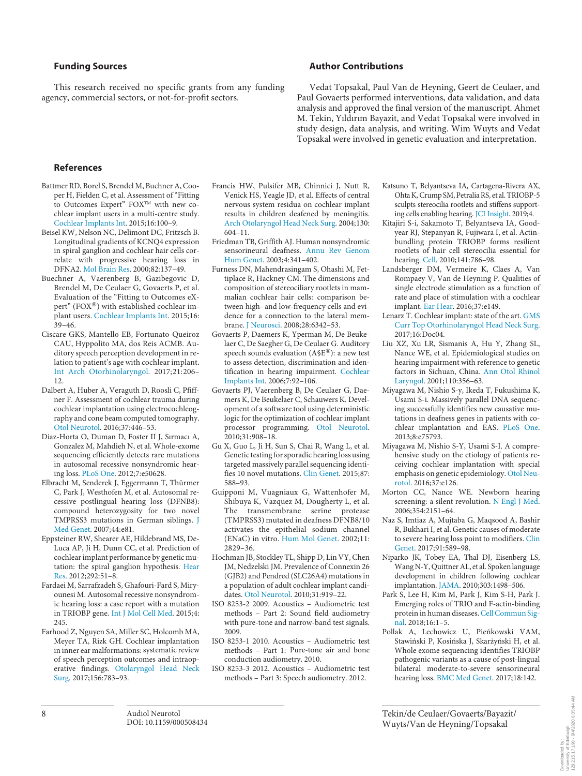### **Funding Sources**

This research received no specific grants from any funding agency, commercial sectors, or not-for-profit sectors.

# **Author Contributions**

Vedat Topsakal, Paul Van de Heyning, Geert de Ceulaer, and Paul Govaerts performed interventions, data validation, and data analysis and approved the final version of the manuscript. Ahmet M. Tekin, Yıldırım Bayazit, and Vedat Topsakal were involved in study design, data analysis, and writing. Wim Wuyts and Vedat Topsakal were involved in genetic evaluation and interpretation.

#### **References**

- Battmer RD, Borel S, Brendel M, Buchner A, Cooper H, Fielden C, et al. Assessment of "Fitting to Outcomes Expert" FOX™ with new cochlear implant users in a multi-centre study. Cochlear Implants Int. 2015;16:100–9.
- Beisel KW, Nelson NC, Delimont DC, Fritzsch B. Longitudinal gradients of KCNQ4 expression in spiral ganglion and cochlear hair cells correlate with progressive hearing loss in DFNA2. Mol Brain Res. 2000;82:137–49.
- Buechner A, Vaerenberg B, Gazibegovic D, Brendel M, De Ceulaer G, Govaerts P, et al. Evaluation of the "Fitting to Outcomes eXpert" (FOX®) with established cochlear implant users. Cochlear Implants Int. 2015;16: 39–46.
- Ciscare GKS, Mantello EB, Fortunato-Queiroz CAU, Hyppolito MA, dos Reis ACMB. Auditory speech perception development in relation to patient's age with cochlear implant. Int Arch Otorhinolaryngol. 2017;21:206– 12.
- Dalbert A, Huber A, Veraguth D, Roosli C, Pfiffner F. Assessment of cochlear trauma during cochlear implantation using electrocochleography and cone beam computed tomography. Otol Neurotol. 2016;37:446–53.
- Diaz-Horta O, Duman D, Foster II J, Sırmacı A, Gonzalez M, Mahdieh N, et al. Whole-exome sequencing efficiently detects rare mutations in autosomal recessive nonsyndromic hearing loss. PLoS One. 2012;7:e50628.
- Elbracht M, Senderek J, Eggermann T, Thürmer C, Park J, Westhofen M, et al. Autosomal recessive postlingual hearing loss (DFNB8): compound heterozygosity for two novel TMPRSS3 mutations in German siblings. J Med Genet. 2007;44:e81.
- Eppsteiner RW, Shearer AE, Hildebrand MS, De-Luca AP, Ji H, Dunn CC, et al. Prediction of cochlear implant performance by genetic mutation: the spiral ganglion hypothesis. Hear Res. 2012;292:51–8.
- Fardaei M, Sarrafzadeh S, Ghafouri-Fard S, Miryounesi M. Autosomal recessive nonsyndromic hearing loss: a case report with a mutation in TRIOBP gene. Int J Mol Cell Med. 2015;4: 245.
- Farhood Z, Nguyen SA, Miller SC, Holcomb MA, Meyer TA, Rizk GH. Cochlear implantation in inner ear malformations: systematic review of speech perception outcomes and intraoperative findings. Otolaryngol Head Neck Surg. 2017;156:783–93.
- Francis HW, Pulsifer MB, Chinnici J, Nutt R, Venick HS, Yeagle JD, et al. Effects of central nervous system residua on cochlear implant results in children deafened by meningitis. Arch Otolaryngol Head Neck Surg. 2004;130: 604–11.
- Friedman TB, Griffith AJ. Human nonsyndromic sensorineural deafness. Annu Rev Genom Hum Genet. 2003;4:341–402.
- Furness DN, Mahendrasingam S, Ohashi M, Fettiplace R, Hackney CM. The dimensions and composition of stereociliary rootlets in mammalian cochlear hair cells: comparison between high- and low-frequency cells and evidence for a connection to the lateral membrane. J Neurosci. 2008;28:6342–53.
- Govaerts P, Daemers K, Yperman M, De Beukelaer C, De Saegher G, De Ceulaer G. Auditory speech sounds evaluation (A§E®): a new test to assess detection, discrimination and identification in hearing impairment. Cochlear Implants Int. 2006;7:92–106.
- Govaerts PJ, Vaerenberg B, De Ceulaer G, Daemers K, De Beukelaer C, Schauwers K. Development of a software tool using deterministic logic for the optimization of cochlear implant processor programming. Otol Neurotol. 2010;31:908–18.
- Gu X, Guo L, Ji H, Sun S, Chai R, Wang L, et al. Genetic testing for sporadic hearing loss using targeted massively parallel sequencing identifies 10 novel mutations. Clin Genet. 2015;87: 588–93.
- Guipponi M, Vuagniaux G, Wattenhofer M, Shibuya K, Vazquez M, Dougherty L, et al. The transmembrane serine protease (TMPRSS3) mutated in deafness DFNB8/10 activates the epithelial sodium channel (ENaC) in vitro. Hum Mol Genet. 2002;11: 2829–36.
- Hochman JB, Stockley TL, Shipp D, Lin VY, Chen JM, Nedzelski JM. Prevalence of Connexin 26 (GJB2) and Pendred (SLC26A4) mutations in a population of adult cochlear implant candidates. Otol Neurotol. 2010;31:919–22.
- ISO 8253-2 2009. Acoustics Audiometric test methods – Part 2: Sound field audiometry with pure-tone and narrow-band test signals. 2009.
- ISO 8253-1 2010. Acoustics Audiometric test methods – Part 1: Pure-tone air and bone conduction audiometry. 2010.
- ISO 8253-3 2012. Acoustics Audiometric test methods – Part 3: Speech audiometry. 2012.
- Katsuno T, Belyantseva IA, Cartagena-Rivera AX, Ohta K, Crump SM, Petralia RS, et al. TRIOBP-5 sculpts stereocilia rootlets and stiffens supporting cells enabling hearing. JCI Insight. 2019;4.
- Kitajiri S-i, Sakamoto T, Belyantseva IA, Goodyear RJ, Stepanyan R, Fujiwara I, et al. Actinbundling protein TRIOBP forms resilient rootlets of hair cell stereocilia essential for hearing. Cell. 2010;141:786–98.
- Landsberger DM, Vermeire K, Claes A, Van Rompaey V, Van de Heyning P. Qualities of single electrode stimulation as a function of rate and place of stimulation with a cochlear implant. Ear Hear. 2016;37:e149.
- Lenarz T. Cochlear implant: state of the art. GMS Curr Top Otorhinolaryngol Head Neck Surg. 2017;16:Doc04.
- Liu XZ, Xu LR, Sismanis A, Hu Y, Zhang SL, Nance WE, et al. Epidemiological studies on hearing impairment with reference to genetic factors in Sichuan, China. Ann Otol Rhinol Laryngol. 2001;110:356–63.
- Miyagawa M, Nishio S-y, Ikeda T, Fukushima K, Usami S-i. Massively parallel DNA sequencing successfully identifies new causative mutations in deafness genes in patients with cochlear implantation and EAS. PLoS One. 2013;8:e75793.
- Miyagawa M, Nishio S-Y, Usami S-I. A comprehensive study on the etiology of patients receiving cochlear implantation with special emphasis on genetic epidemiology. Otol Neurotol. 2016;37:e126.
- Morton CC, Nance WE. Newborn hearing screening: a silent revolution. N Engl J Med. 2006;354:2151–64.
- Naz S, Imtiaz A, Mujtaba G, Maqsood A, Bashir R, Bukhari I, et al. Genetic causes of moderate to severe hearing loss point to modifiers. Clin Genet. 2017;91:589–98.
- Niparko JK, Tobey EA, Thal DJ, Eisenberg LS, Wang N-Y, Quittner AL, et al. Spoken language development in children following cochlear implantation. JAMA. 2010;303:1498–506.
- Park S, Lee H, Kim M, Park J, Kim S-H, Park J. Emerging roles of TRIO and F-actin-binding protein in human diseases. Cell Commun Signal. 2018;16:1–5.
- Pollak A, Lechowicz U, Pieńkowski VAM, Stawiński P, Kosińska J, Skarżyński H, et al. Whole exome sequencing identifies TRIOBP pathogenic variants as a cause of post-lingual bilateral moderate-to-severe sensorineural hearing loss. BMC Med Genet. 2017;18:142.